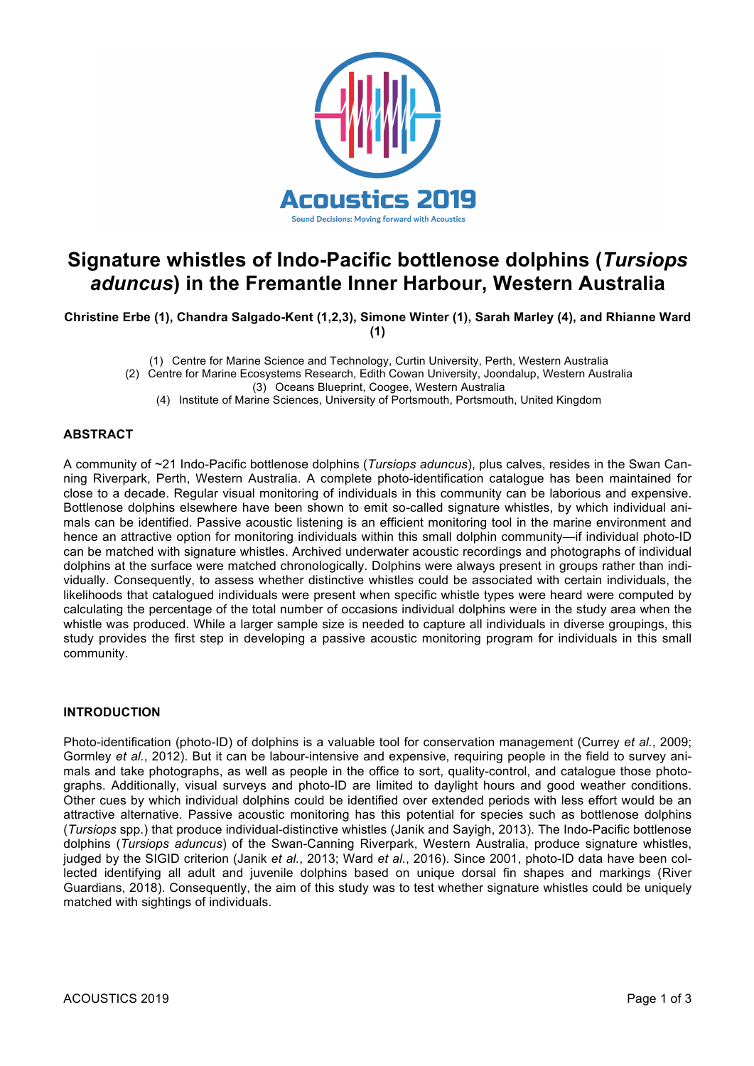

# **Signature whistles of Indo-Pacific bottlenose dolphins (***Tursiops aduncus***) in the Fremantle Inner Harbour, Western Australia**

**Christine Erbe (1), Chandra Salgado-Kent (1,2,3), Simone Winter (1), Sarah Marley (4), and Rhianne Ward (1)**

(1) Centre for Marine Science and Technology, Curtin University, Perth, Western Australia

(2) Centre for Marine Ecosystems Research, Edith Cowan University, Joondalup, Western Australia

(3) Oceans Blueprint, Coogee, Western Australia

(4) Institute of Marine Sciences, University of Portsmouth, Portsmouth, United Kingdom

## **ABSTRACT**

A community of ~21 Indo-Pacific bottlenose dolphins (*Tursiops aduncus*), plus calves, resides in the Swan Canning Riverpark, Perth, Western Australia. A complete photo-identification catalogue has been maintained for close to a decade. Regular visual monitoring of individuals in this community can be laborious and expensive. Bottlenose dolphins elsewhere have been shown to emit so-called signature whistles, by which individual animals can be identified. Passive acoustic listening is an efficient monitoring tool in the marine environment and hence an attractive option for monitoring individuals within this small dolphin community—if individual photo-ID can be matched with signature whistles. Archived underwater acoustic recordings and photographs of individual dolphins at the surface were matched chronologically. Dolphins were always present in groups rather than individually. Consequently, to assess whether distinctive whistles could be associated with certain individuals, the likelihoods that catalogued individuals were present when specific whistle types were heard were computed by calculating the percentage of the total number of occasions individual dolphins were in the study area when the whistle was produced. While a larger sample size is needed to capture all individuals in diverse groupings, this study provides the first step in developing a passive acoustic monitoring program for individuals in this small community.

## **INTRODUCTION**

Photo-identification (photo-ID) of dolphins is a valuable tool for conservation management (Currey *et al.*, 2009; Gormley *et al.*, 2012). But it can be labour-intensive and expensive, requiring people in the field to survey animals and take photographs, as well as people in the office to sort, quality-control, and catalogue those photographs. Additionally, visual surveys and photo-ID are limited to daylight hours and good weather conditions. Other cues by which individual dolphins could be identified over extended periods with less effort would be an attractive alternative. Passive acoustic monitoring has this potential for species such as bottlenose dolphins (*Tursiops* spp.) that produce individual-distinctive whistles (Janik and Sayigh, 2013). The Indo-Pacific bottlenose dolphins (*Tursiops aduncus*) of the Swan-Canning Riverpark, Western Australia, produce signature whistles, judged by the SIGID criterion (Janik *et al.*, 2013; Ward *et al.*, 2016). Since 2001, photo-ID data have been collected identifying all adult and juvenile dolphins based on unique dorsal fin shapes and markings (River Guardians, 2018). Consequently, the aim of this study was to test whether signature whistles could be uniquely matched with sightings of individuals.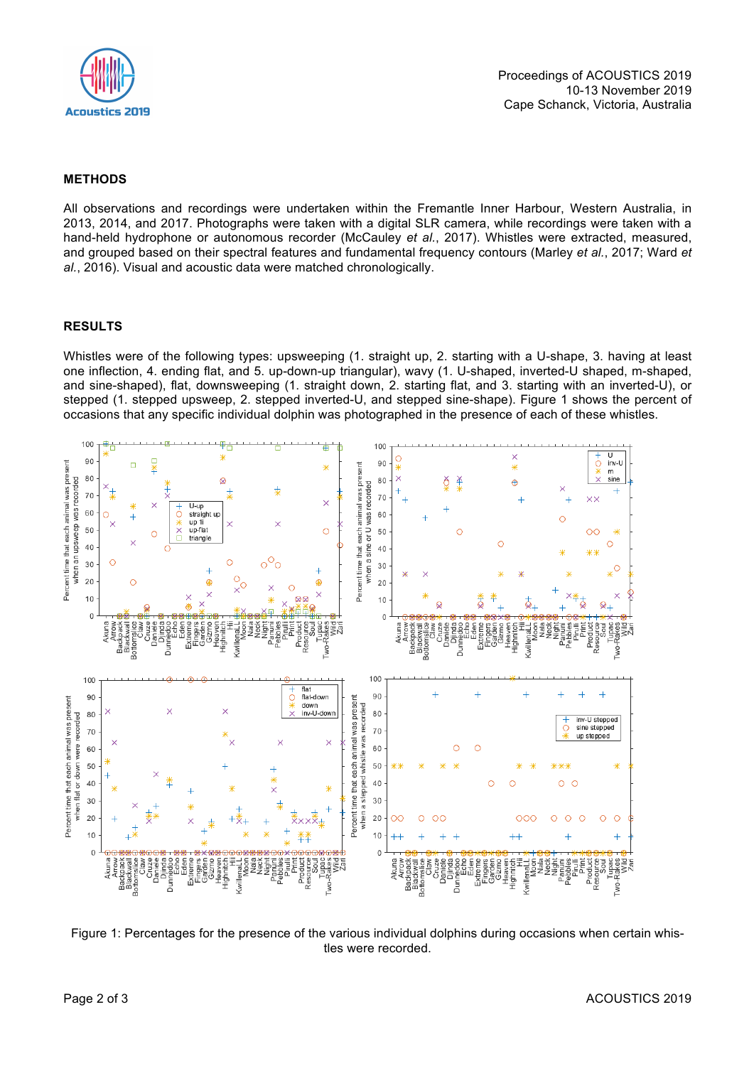

## **METHODS**

All observations and recordings were undertaken within the Fremantle Inner Harbour, Western Australia, in 2013, 2014, and 2017. Photographs were taken with a digital SLR camera, while recordings were taken with a hand-held hydrophone or autonomous recorder (McCauley *et al.*, 2017). Whistles were extracted, measured, and grouped based on their spectral features and fundamental frequency contours (Marley *et al.*, 2017; Ward *et al.*, 2016). Visual and acoustic data were matched chronologically.

#### **RESULTS**

Whistles were of the following types: upsweeping (1. straight up, 2. starting with a U-shape, 3. having at least one inflection, 4. ending flat, and 5. up-down-up triangular), wavy (1. U-shaped, inverted-U shaped, m-shaped, and sine-shaped), flat, downsweeping (1. straight down, 2. starting flat, and 3. starting with an inverted-U), or stepped (1. stepped upsweep, 2. stepped inverted-U, and stepped sine-shape). Figure 1 shows the percent of occasions that any specific individual dolphin was photographed in the presence of each of these whistles.



Figure 1: Percentages for the presence of the various individual dolphins during occasions when certain whistles were recorded.